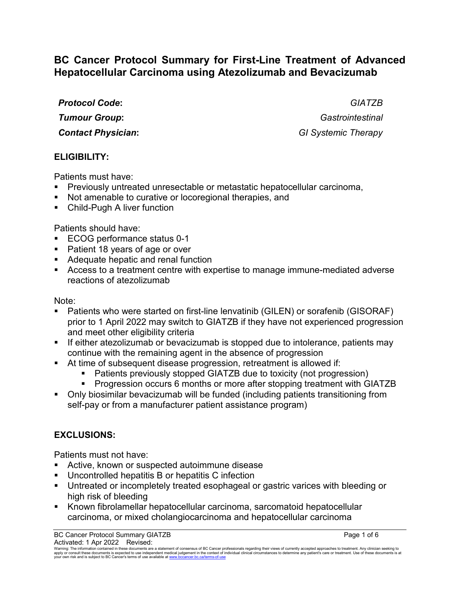# **BC Cancer Protocol Summary for First-Line Treatment of Advanced Hepatocellular Carcinoma using Atezolizumab and Bevacizumab**

*Protocol Code***:** *GIATZB*

*Tumour Group***:** *Gastrointestinal Contact Physician***:** *GI Systemic Therapy*

### **ELIGIBILITY:**

Patients must have:

- Previously untreated unresectable or metastatic hepatocellular carcinoma,
- Not amenable to curative or locoregional therapies, and
- Child-Pugh A liver function

Patients should have:

- **ECOG performance status 0-1**
- Patient 18 years of age or over
- Adequate hepatic and renal function
- Access to a treatment centre with expertise to manage immune-mediated adverse reactions of atezolizumab

Note:

- Patients who were started on first-line lenvatinib (GILEN) or sorafenib (GISORAF) prior to 1 April 2022 may switch to GIATZB if they have not experienced progression and meet other eligibility criteria
- If either atezolizumab or bevacizumab is stopped due to intolerance, patients may continue with the remaining agent in the absence of progression
- At time of subsequent disease progression, retreatment is allowed if:
	- Patients previously stopped GIATZB due to toxicity (not progression)
	- **Progression occurs 6 months or more after stopping treatment with GIATZB**
- Only biosimilar bevacizumab will be funded (including patients transitioning from self-pay or from a manufacturer patient assistance program)

# **EXCLUSIONS:**

Patients must not have:

- Active, known or suspected autoimmune disease
- Uncontrolled hepatitis B or hepatitis C infection
- Untreated or incompletely treated esophageal or gastric varices with bleeding or high risk of bleeding
- Known fibrolamellar hepatocellular carcinoma, sarcomatoid hepatocellular carcinoma, or mixed cholangiocarcinoma and hepatocellular carcinoma

BC Cancer Protocol Summary GIATZB **Page 1 of 6** and 2008 Page 1 of 6 Activated: 1 Apr 2022 Revised:

Warning: The information contained in these documents are a statement of consensus of BC Cancer professionals regarding their views of currently accepted approaches to treatment. Any clinician seeking to<br>apply or consult t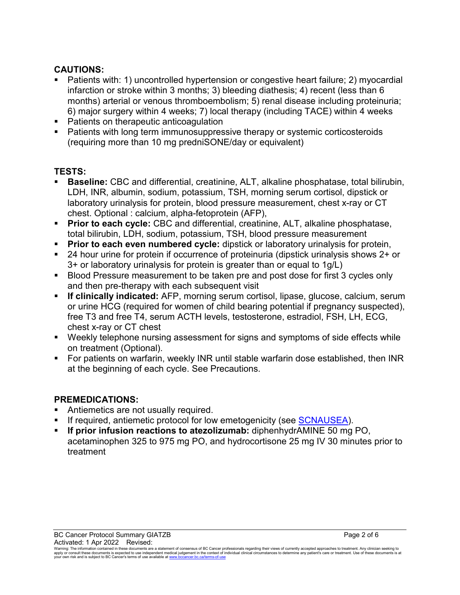# **CAUTIONS:**

- Patients with: 1) uncontrolled hypertension or congestive heart failure; 2) myocardial infarction or stroke within 3 months; 3) bleeding diathesis; 4) recent (less than 6 months) arterial or venous thromboembolism; 5) renal disease including proteinuria; 6) major surgery within 4 weeks; 7) local therapy (including TACE) within 4 weeks
- Patients on therapeutic anticoagulation
- **Patients with long term immunosuppressive therapy or systemic corticosteroids** (requiring more than 10 mg predniSONE/day or equivalent)

## **TESTS:**

- **Baseline:** CBC and differential, creatinine, ALT, alkaline phosphatase, total bilirubin, LDH, INR, albumin, sodium, potassium, TSH, morning serum cortisol, dipstick or laboratory urinalysis for protein, blood pressure measurement, chest x-ray or CT chest. Optional : calcium, alpha-fetoprotein (AFP),
- **Prior to each cycle:** CBC and differential, creatinine, ALT, alkaline phosphatase, total bilirubin, LDH, sodium, potassium, TSH, blood pressure measurement
- **Prior to each even numbered cycle:** dipstick or laboratory urinalysis for protein,
- 24 hour urine for protein if occurrence of proteinuria (dipstick urinalysis shows 2+ or 3+ or laboratory urinalysis for protein is greater than or equal to 1g/L)
- Blood Pressure measurement to be taken pre and post dose for first 3 cycles only and then pre-therapy with each subsequent visit
- **If clinically indicated:** AFP, morning serum cortisol, lipase, glucose, calcium, serum or urine HCG (required for women of child bearing potential if pregnancy suspected), free T3 and free T4, serum ACTH levels, testosterone, estradiol, FSH, LH, ECG, chest x-ray or CT chest
- Weekly telephone nursing assessment for signs and symptoms of side effects while on treatment (Optional).
- For patients on warfarin, weekly INR until stable warfarin dose established, then INR at the beginning of each cycle. See Precautions.

### **PREMEDICATIONS:**

- **Antiemetics are not usually required.**
- If required, antiemetic protocol for low emetogenicity (see [SCNAUSEA\)](http://www.bccancer.bc.ca/chemotherapy-protocols-site/Documents/Supportive%20Care/SCNAUSEA_Protocol.pdf).
- **If prior infusion reactions to atezolizumab:** diphenhydrAMINE 50 mg PO, acetaminophen 325 to 975 mg PO, and hydrocortisone 25 mg IV 30 minutes prior to treatment

Warning: The information contained in these documents are a statement of consensus of BC Cancer professionals regarding their views of currently accepted approaches to treatment. Any clinician seeking to<br>apply or consult t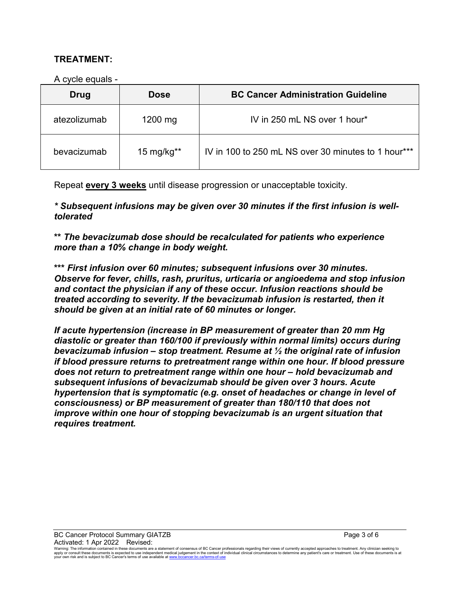#### **TREATMENT:**

A cycle equals -

| Drug         | <b>Dose</b>   | <b>BC Cancer Administration Guideline</b>           |
|--------------|---------------|-----------------------------------------------------|
| atezolizumab | 1200 mg       | IV in 250 mL NS over 1 hour*                        |
| bevacizumab  | 15 mg/kg $**$ | IV in 100 to 250 mL NS over 30 minutes to 1 hour*** |

Repeat **every 3 weeks** until disease progression or unacceptable toxicity.

*\* Subsequent infusions may be given over 30 minutes if the first infusion is welltolerated*

**\*\*** *The bevacizumab dose should be recalculated for patients who experience more than a 10% change in body weight.*

**\*\*\*** *First infusion over 60 minutes; subsequent infusions over 30 minutes. Observe for fever, chills, rash, pruritus, urticaria or angioedema and stop infusion and contact the physician if any of these occur. Infusion reactions should be treated according to severity. If the bevacizumab infusion is restarted, then it should be given at an initial rate of 60 minutes or longer.*

*If acute hypertension (increase in BP measurement of greater than 20 mm Hg diastolic or greater than 160/100 if previously within normal limits) occurs during bevacizumab infusion – stop treatment. Resume at ½ the original rate of infusion if blood pressure returns to pretreatment range within one hour. If blood pressure does not return to pretreatment range within one hour – hold bevacizumab and subsequent infusions of bevacizumab should be given over 3 hours. Acute hypertension that is symptomatic (e.g. onset of headaches or change in level of consciousness) or BP measurement of greater than 180/110 that does not improve within one hour of stopping bevacizumab is an urgent situation that requires treatment.*

Warning: The information contained in these documents are a statement of consensus of BC Cancer professionals regarding their views of currently accepted approaches to treatment. Any clinician seeking to<br>apply or consult t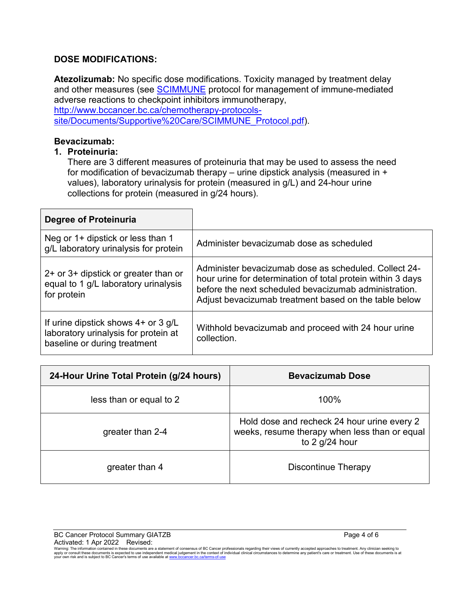#### **DOSE MODIFICATIONS:**

**Atezolizumab:** No specific dose modifications. Toxicity managed by treatment delay and other measures (see **SCIMMUNE** protocol for management of immune-mediated adverse reactions to checkpoint inhibitors immunotherapy, [http://www.bccancer.bc.ca/chemotherapy-protocols](http://www.bccancer.bc.ca/chemotherapy-protocols-site/Documents/Supportive%20Care/SCIMMUNE_Protocol.pdf)[site/Documents/Supportive%20Care/SCIMMUNE\\_Protocol.pdf\)](http://www.bccancer.bc.ca/chemotherapy-protocols-site/Documents/Supportive%20Care/SCIMMUNE_Protocol.pdf).

#### **Bevacizumab:**

#### **1. Proteinuria:**

There are 3 different measures of proteinuria that may be used to assess the need for modification of bevacizumab therapy – urine dipstick analysis (measured in + values), laboratory urinalysis for protein (measured in g/L) and 24-hour urine collections for protein (measured in g/24 hours).

| Degree of Proteinuria                                                                                         |                                                                                                                                                                                                                                        |
|---------------------------------------------------------------------------------------------------------------|----------------------------------------------------------------------------------------------------------------------------------------------------------------------------------------------------------------------------------------|
| Neg or 1+ dipstick or less than 1<br>g/L laboratory urinalysis for protein                                    | Administer bevacizumab dose as scheduled                                                                                                                                                                                               |
| 2+ or 3+ dipstick or greater than or<br>equal to 1 g/L laboratory urinalysis<br>for protein                   | Administer bevacizumab dose as scheduled. Collect 24-<br>hour urine for determination of total protein within 3 days<br>before the next scheduled bevacizumab administration.<br>Adjust bevacizumab treatment based on the table below |
| If urine dipstick shows $4+$ or 3 g/L<br>laboratory urinalysis for protein at<br>baseline or during treatment | Withhold bevacizumab and proceed with 24 hour urine<br>collection.                                                                                                                                                                     |

| 24-Hour Urine Total Protein (g/24 hours) | <b>Bevacizumab Dose</b>                                                                                          |
|------------------------------------------|------------------------------------------------------------------------------------------------------------------|
| less than or equal to 2                  | 100%                                                                                                             |
| greater than 2-4                         | Hold dose and recheck 24 hour urine every 2<br>weeks, resume therapy when less than or equal<br>to 2 $g/24$ hour |
| greater than 4                           | Discontinue Therapy                                                                                              |

Warning: The information contained in these documents are a statement of consensus of BC Cancer professionals regarding their views of currently accepted approaches to treatment. Any clinician seeking to<br>apply or consult t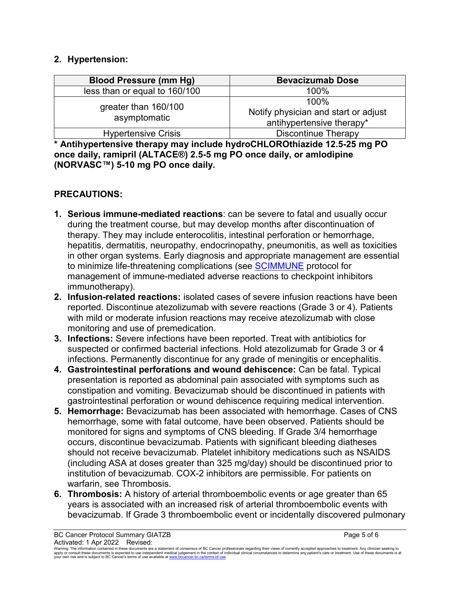### **2. Hypertension:**

| <b>Blood Pressure (mm Hg)</b>        | <b>Bevacizumab Dose</b>                                                   |
|--------------------------------------|---------------------------------------------------------------------------|
| less than or equal to 160/100        | 100%                                                                      |
| greater than 160/100<br>asymptomatic | 100%<br>Notify physician and start or adjust<br>antihypertensive therapy* |
| <b>Hypertensive Crisis</b>           | <b>Discontinue Therapy</b>                                                |

**\* Antihypertensive therapy may include hydroCHLOROthiazide 12.5-25 mg PO once daily, ramipril (ALTACE®) 2.5-5 mg PO once daily, or amlodipine (NORVASC™) 5-10 mg PO once daily.**

## **PRECAUTIONS:**

- **1. Serious immune-mediated reactions**: can be severe to fatal and usually occur during the treatment course, but may develop months after discontinuation of therapy. They may include enterocolitis, intestinal perforation or hemorrhage, hepatitis, dermatitis, neuropathy, endocrinopathy, pneumonitis, as well as toxicities in other organ systems. Early diagnosis and appropriate management are essential to minimize life-threatening complications (see [SCIMMUNE](http://www.bccancer.bc.ca/chemotherapy-protocols-site/Documents/Supportive%20Care/SCIMMUNE_Protocol.pdf) protocol for management of immune-mediated adverse reactions to checkpoint inhibitors immunotherapy).
- **2. Infusion-related reactions:** isolated cases of severe infusion reactions have been reported. Discontinue atezolizumab with severe reactions (Grade 3 or 4). Patients with mild or moderate infusion reactions may receive atezolizumab with close monitoring and use of premedication.
- **3. Infections:** Severe infections have been reported. Treat with antibiotics for suspected or confirmed bacterial infections. Hold atezolizumab for Grade 3 or 4 infections. Permanently discontinue for any grade of meningitis or encephalitis.
- **4. Gastrointestinal perforations and wound dehiscence:** Can be fatal. Typical presentation is reported as abdominal pain associated with symptoms such as constipation and vomiting. Bevacizumab should be discontinued in patients with gastrointestinal perforation or wound dehiscence requiring medical intervention.
- **5. Hemorrhage:** Bevacizumab has been associated with hemorrhage. Cases of CNS hemorrhage, some with fatal outcome, have been observed. Patients should be monitored for signs and symptoms of CNS bleeding. If Grade 3/4 hemorrhage occurs, discontinue bevacizumab. Patients with significant bleeding diatheses should not receive bevacizumab. Platelet inhibitory medications such as NSAIDS (including ASA at doses greater than 325 mg/day) should be discontinued prior to institution of bevacizumab. COX-2 inhibitors are permissible. For patients on warfarin, see Thrombosis.
- **6. Thrombosis:** A history of arterial thromboembolic events or age greater than 65 years is associated with an increased risk of arterial thromboembolic events with bevacizumab. If Grade 3 thromboembolic event or incidentally discovered pulmonary

Warning: The information contained in these documents are a statement of consensus of BC Cancer professionals regarding their views of currently accepted approaches to treatment. Any clinician seeking to<br>apply or consult t